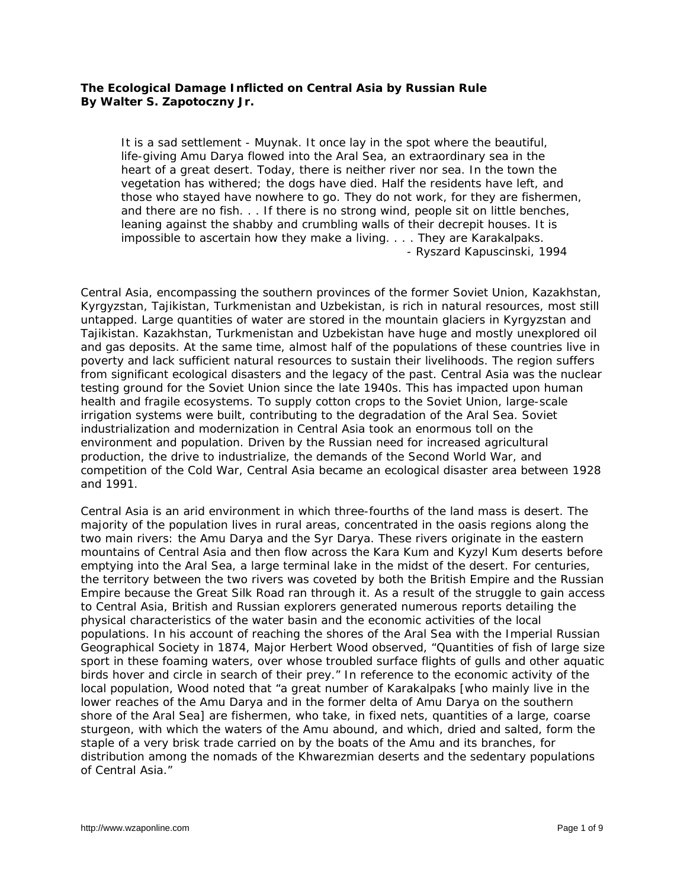## **The Ecological Damage Inflicted on Central Asia by Russian Rule By Walter S. Zapotoczny Jr.**

*It is a sad settlement - Muynak. It once lay in the spot where the beautiful, life-giving Amu Darya flowed into the Aral Sea, an extraordinary sea in the heart of a great desert. Today, there is neither river nor sea. In the town the vegetation has withered; the dogs have died. Half the residents have left, and those who stayed have nowhere to go. They do not work, for they are fishermen, and there are no fish. . . If there is no strong wind, people sit on little benches, leaning against the shabby and crumbling walls of their decrepit houses. It is impossible to ascertain how they make a living. . . . They are Karakalpaks.* - Ryszard Kapuscinski, 1994

Central Asia, encompassing the southern provinces of the former Soviet Union, Kazakhstan, Kyrgyzstan, Tajikistan, Turkmenistan and Uzbekistan, is rich in natural resources, most still untapped. Large quantities of water are stored in the mountain glaciers in Kyrgyzstan and Tajikistan. Kazakhstan, Turkmenistan and Uzbekistan have huge and mostly unexplored oil and gas deposits. At the same time, almost half of the populations of these countries live in poverty and lack sufficient natural resources to sustain their livelihoods. The region suffers from significant ecological disasters and the legacy of the past. Central Asia was the nuclear testing ground for the Soviet Union since the late 1940s. This has impacted upon human health and fragile ecosystems. To supply cotton crops to the Soviet Union, large-scale irrigation systems were built, contributing to the degradation of the Aral Sea. Soviet industrialization and modernization in Central Asia took an enormous toll on the environment and population. Driven by the Russian need for increased agricultural production, the drive to industrialize, the demands of the Second World War, and competition of the Cold War, Central Asia became an ecological disaster area between 1928 and 1991.

Central Asia is an arid environment in which three-fourths of the land mass is desert. The majority of the population lives in rural areas, concentrated in the oasis regions along the two main rivers: the Amu Darya and the Syr Darya. These rivers originate in the eastern mountains of Central Asia and then flow across the Kara Kum and Kyzyl Kum deserts before emptying into the Aral Sea, a large terminal lake in the midst of the desert. For centuries, the territory between the two rivers was coveted by both the British Empire and the Russian Empire because the Great Silk Road ran through it. As a result of the struggle to gain access to Central Asia, British and Russian explorers generated numerous reports detailing the physical characteristics of the water basin and the economic activities of the local populations. In his account of reaching the shores of the Aral Sea with the Imperial Russian Geographical Society in 1874, Major Herbert Wood observed, "Quantities of fish of large size sport in these foaming waters, over whose troubled surface flights of gulls and other aquatic birds hover and circle in search of their prey." In reference to the economic activity of the local population, Wood noted that "a great number of Karakalpaks [who mainly live in the lower reaches of the Amu Darya and in the former delta of Amu Darya on the southern shore of the Aral Sea] are fishermen, who take, in fixed nets, quantities of a large, coarse sturgeon, with which the waters of the Amu abound, and which, dried and salted, form the staple of a very brisk trade carried on by the boats of the Amu and its branches, for distribution among the nomads of the Khwarezmian deserts and the sedentary populations of Central Asia."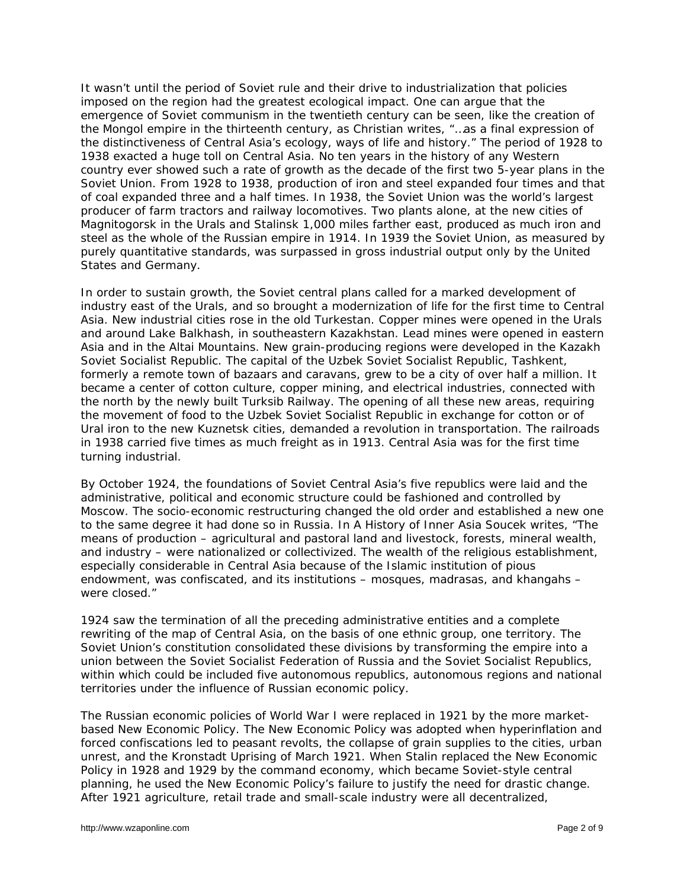It wasn't until the period of Soviet rule and their drive to industrialization that policies imposed on the region had the greatest ecological impact. One can argue that the emergence of Soviet communism in the twentieth century can be seen, like the creation of the Mongol empire in the thirteenth century, as Christian writes, "…as a final expression of the distinctiveness of Central Asia's ecology, ways of life and history." The period of 1928 to 1938 exacted a huge toll on Central Asia. No ten years in the history of any Western country ever showed such a rate of growth as the decade of the first two 5-year plans in the Soviet Union. From 1928 to 1938, production of iron and steel expanded four times and that of coal expanded three and a half times. In 1938, the Soviet Union was the world's largest producer of farm tractors and railway locomotives. Two plants alone, at the new cities of Magnitogorsk in the Urals and Stalinsk 1,000 miles farther east, produced as much iron and steel as the whole of the Russian empire in 1914. In 1939 the Soviet Union, as measured by purely quantitative standards, was surpassed in gross industrial output only by the United States and Germany.

In order to sustain growth, the Soviet central plans called for a marked development of industry east of the Urals, and so brought a modernization of life for the first time to Central Asia. New industrial cities rose in the old Turkestan. Copper mines were opened in the Urals and around Lake Balkhash, in southeastern Kazakhstan. Lead mines were opened in eastern Asia and in the Altai Mountains. New grain-producing regions were developed in the Kazakh Soviet Socialist Republic. The capital of the Uzbek Soviet Socialist Republic, Tashkent, formerly a remote town of bazaars and caravans, grew to be a city of over half a million. It became a center of cotton culture, copper mining, and electrical industries, connected with the north by the newly built Turksib Railway. The opening of all these new areas, requiring the movement of food to the Uzbek Soviet Socialist Republic in exchange for cotton or of Ural iron to the new Kuznetsk cities, demanded a revolution in transportation. The railroads in 1938 carried five times as much freight as in 1913. Central Asia was for the first time turning industrial.

By October 1924, the foundations of Soviet Central Asia's five republics were laid and the administrative, political and economic structure could be fashioned and controlled by Moscow. The socio-economic restructuring changed the old order and established a new one to the same degree it had done so in Russia. In *A History of Inner Asia* Soucek writes, "The means of production – agricultural and pastoral land and livestock, forests, mineral wealth, and industry – were nationalized or collectivized. The wealth of the religious establishment, especially considerable in Central Asia because of the Islamic institution of pious endowment, was confiscated, and its institutions – mosques, madrasas, and khangahs – were closed."

1924 saw the termination of all the preceding administrative entities and a complete rewriting of the map of Central Asia, on the basis of one ethnic group, one territory. The Soviet Union's constitution consolidated these divisions by transforming the empire into a union between the Soviet Socialist Federation of Russia and the Soviet Socialist Republics, within which could be included five autonomous republics, autonomous regions and national territories under the influence of Russian economic policy.

The Russian economic policies of World War I were replaced in 1921 by the more marketbased New Economic Policy. The New Economic Policy was adopted when hyperinflation and forced confiscations led to peasant revolts, the collapse of grain supplies to the cities, urban unrest, and the Kronstadt Uprising of March 1921. When Stalin replaced the New Economic Policy in 1928 and 1929 by the command economy, which became Soviet-style central planning, he used the New Economic Policy's failure to justify the need for drastic change. After 1921 agriculture, retail trade and small-scale industry were all decentralized,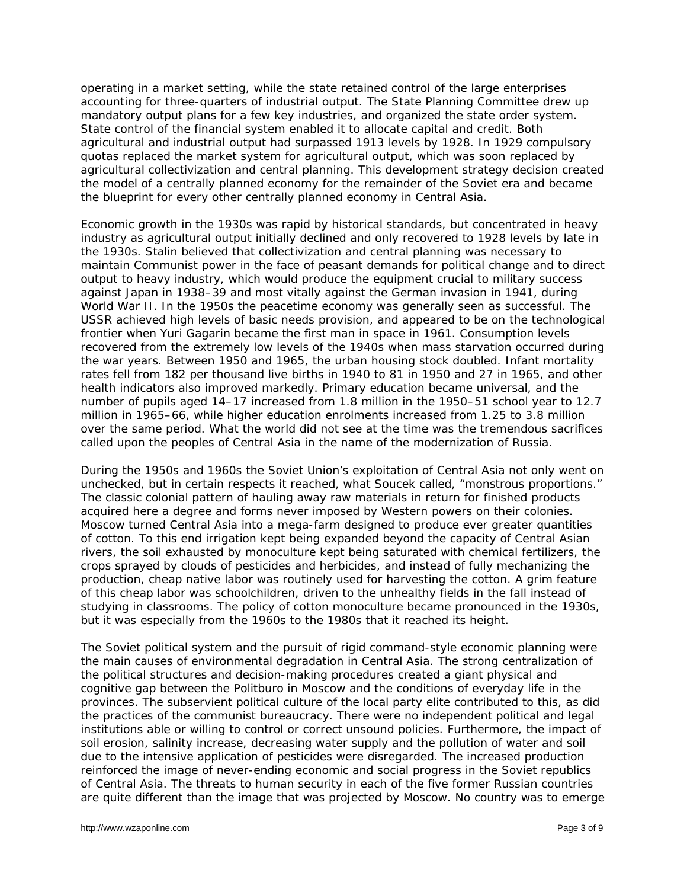operating in a market setting, while the state retained control of the large enterprises accounting for three-quarters of industrial output. The State Planning Committee drew up mandatory output plans for a few key industries, and organized the state order system. State control of the financial system enabled it to allocate capital and credit. Both agricultural and industrial output had surpassed 1913 levels by 1928. In 1929 compulsory quotas replaced the market system for agricultural output, which was soon replaced by agricultural collectivization and central planning. This development strategy decision created the model of a centrally planned economy for the remainder of the Soviet era and became the blueprint for every other centrally planned economy in Central Asia.

Economic growth in the 1930s was rapid by historical standards, but concentrated in heavy industry as agricultural output initially declined and only recovered to 1928 levels by late in the 1930s. Stalin believed that collectivization and central planning was necessary to maintain Communist power in the face of peasant demands for political change and to direct output to heavy industry, which would produce the equipment crucial to military success against Japan in 1938–39 and most vitally against the German invasion in 1941, during World War II. In the 1950s the peacetime economy was generally seen as successful. The USSR achieved high levels of basic needs provision, and appeared to be on the technological frontier when Yuri Gagarin became the first man in space in 1961. Consumption levels recovered from the extremely low levels of the 1940s when mass starvation occurred during the war years. Between 1950 and 1965, the urban housing stock doubled. Infant mortality rates fell from 182 per thousand live births in 1940 to 81 in 1950 and 27 in 1965, and other health indicators also improved markedly. Primary education became universal, and the number of pupils aged 14–17 increased from 1.8 million in the 1950–51 school year to 12.7 million in 1965–66, while higher education enrolments increased from 1.25 to 3.8 million over the same period. What the world did not see at the time was the tremendous sacrifices called upon the peoples of Central Asia in the name of the modernization of Russia.

During the 1950s and 1960s the Soviet Union's exploitation of Central Asia not only went on unchecked, but in certain respects it reached, what Soucek called, "monstrous proportions." The classic colonial pattern of hauling away raw materials in return for finished products acquired here a degree and forms never imposed by Western powers on their colonies. Moscow turned Central Asia into a mega-farm designed to produce ever greater quantities of cotton. To this end irrigation kept being expanded beyond the capacity of Central Asian rivers, the soil exhausted by monoculture kept being saturated with chemical fertilizers, the crops sprayed by clouds of pesticides and herbicides, and instead of fully mechanizing the production, cheap native labor was routinely used for harvesting the cotton. A grim feature of this cheap labor was schoolchildren, driven to the unhealthy fields in the fall instead of studying in classrooms. The policy of cotton monoculture became pronounced in the 1930s, but it was especially from the 1960s to the 1980s that it reached its height.

The Soviet political system and the pursuit of rigid command-style economic planning were the main causes of environmental degradation in Central Asia. The strong centralization of the political structures and decision-making procedures created a giant physical and cognitive gap between the Politburo in Moscow and the conditions of everyday life in the provinces. The subservient political culture of the local party elite contributed to this, as did the practices of the communist bureaucracy. There were no independent political and legal institutions able or willing to control or correct unsound policies. Furthermore, the impact of soil erosion, salinity increase, decreasing water supply and the pollution of water and soil due to the intensive application of pesticides were disregarded. The increased production reinforced the image of never-ending economic and social progress in the Soviet republics of Central Asia. The threats to human security in each of the five former Russian countries are quite different than the image that was projected by Moscow. No country was to emerge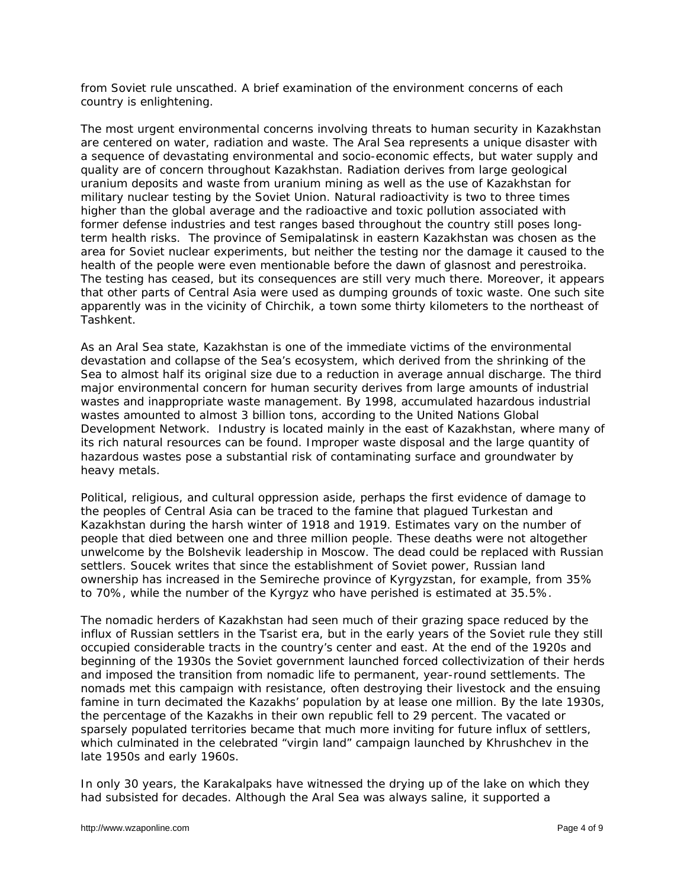from Soviet rule unscathed. A brief examination of the environment concerns of each country is enlightening.

The most urgent environmental concerns involving threats to human security in Kazakhstan are centered on water, radiation and waste. The Aral Sea represents a unique disaster with a sequence of devastating environmental and socio-economic effects, but water supply and quality are of concern throughout Kazakhstan. Radiation derives from large geological uranium deposits and waste from uranium mining as well as the use of Kazakhstan for military nuclear testing by the Soviet Union. Natural radioactivity is two to three times higher than the global average and the radioactive and toxic pollution associated with former defense industries and test ranges based throughout the country still poses longterm health risks. The province of Semipalatinsk in eastern Kazakhstan was chosen as the area for Soviet nuclear experiments, but neither the testing nor the damage it caused to the health of the people were even mentionable before the dawn of *glasnost* and *perestroika*. The testing has ceased, but its consequences are still very much there. Moreover, it appears that other parts of Central Asia were used as dumping grounds of toxic waste. One such site apparently was in the vicinity of Chirchik, a town some thirty kilometers to the northeast of Tashkent.

As an Aral Sea state, Kazakhstan is one of the immediate victims of the environmental devastation and collapse of the Sea's ecosystem, which derived from the shrinking of the Sea to almost half its original size due to a reduction in average annual discharge. The third major environmental concern for human security derives from large amounts of industrial wastes and inappropriate waste management. By 1998, accumulated hazardous industrial wastes amounted to almost 3 billion tons, according to the United Nations Global Development Network. Industry is located mainly in the east of Kazakhstan, where many of its rich natural resources can be found. Improper waste disposal and the large quantity of hazardous wastes pose a substantial risk of contaminating surface and groundwater by heavy metals.

Political, religious, and cultural oppression aside, perhaps the first evidence of damage to the peoples of Central Asia can be traced to the famine that plagued Turkestan and Kazakhstan during the harsh winter of 1918 and 1919. Estimates vary on the number of people that died between one and three million people. These deaths were not altogether unwelcome by the Bolshevik leadership in Moscow. The dead could be replaced with Russian settlers. Soucek writes that since the establishment of Soviet power, Russian land ownership has increased in the Semireche province of Kyrgyzstan, for example, from 35% to 70%, while the number of the Kyrgyz who have perished is estimated at 35.5%.

The nomadic herders of Kazakhstan had seen much of their grazing space reduced by the influx of Russian settlers in the Tsarist era, but in the early years of the Soviet rule they still occupied considerable tracts in the country's center and east. At the end of the 1920s and beginning of the 1930s the Soviet government launched forced collectivization of their herds and imposed the transition from nomadic life to permanent, year-round settlements. The nomads met this campaign with resistance, often destroying their livestock and the ensuing famine in turn decimated the Kazakhs' population by at lease one million. By the late 1930s, the percentage of the Kazakhs in their own republic fell to 29 percent. The vacated or sparsely populated territories became that much more inviting for future influx of settlers, which culminated in the celebrated "virgin land" campaign launched by Khrushchev in the late 1950s and early 1960s.

In only 30 years, the Karakalpaks have witnessed the drying up of the lake on which they had subsisted for decades. Although the Aral Sea was always saline, it supported a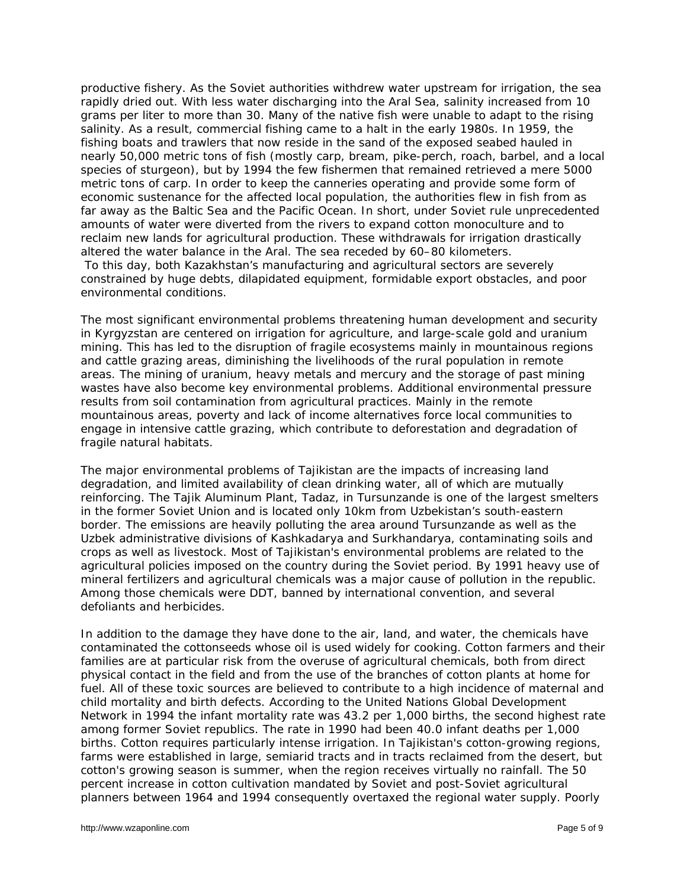productive fishery. As the Soviet authorities withdrew water upstream for irrigation, the sea rapidly dried out. With less water discharging into the Aral Sea, salinity increased from 10 grams per liter to more than 30. Many of the native fish were unable to adapt to the rising salinity. As a result, commercial fishing came to a halt in the early 1980s. In 1959, the fishing boats and trawlers that now reside in the sand of the exposed seabed hauled in nearly 50,000 metric tons of fish (mostly carp, bream, pike-perch, roach, barbel, and a local species of sturgeon), but by 1994 the few fishermen that remained retrieved a mere 5000 metric tons of carp. In order to keep the canneries operating and provide some form of economic sustenance for the affected local population, the authorities flew in fish from as far away as the Baltic Sea and the Pacific Ocean. In short, under Soviet rule unprecedented amounts of water were diverted from the rivers to expand cotton monoculture and to reclaim new lands for agricultural production. These withdrawals for irrigation drastically altered the water balance in the Aral. The sea receded by 60–80 kilometers. To this day, both Kazakhstan's manufacturing and agricultural sectors are severely

constrained by huge debts, dilapidated equipment, formidable export obstacles, and poor environmental conditions.

The most significant environmental problems threatening human development and security in Kyrgyzstan are centered on irrigation for agriculture, and large-scale gold and uranium mining. This has led to the disruption of fragile ecosystems mainly in mountainous regions and cattle grazing areas, diminishing the livelihoods of the rural population in remote areas. The mining of uranium, heavy metals and mercury and the storage of past mining wastes have also become key environmental problems. Additional environmental pressure results from soil contamination from agricultural practices. Mainly in the remote mountainous areas, poverty and lack of income alternatives force local communities to engage in intensive cattle grazing, which contribute to deforestation and degradation of fragile natural habitats.

The major environmental problems of Tajikistan are the impacts of increasing land degradation, and limited availability of clean drinking water, all of which are mutually reinforcing. The Tajik Aluminum Plant, Tadaz, in Tursunzande is one of the largest smelters in the former Soviet Union and is located only 10km from Uzbekistan's south-eastern border. The emissions are heavily polluting the area around Tursunzande as well as the Uzbek administrative divisions of Kashkadarya and Surkhandarya, contaminating soils and crops as well as livestock. Most of Tajikistan's environmental problems are related to the agricultural policies imposed on the country during the Soviet period. By 1991 heavy use of mineral fertilizers and agricultural chemicals was a major cause of pollution in the republic. Among those chemicals were DDT, banned by international convention, and several defoliants and herbicides.

In addition to the damage they have done to the air, land, and water, the chemicals have contaminated the cottonseeds whose oil is used widely for cooking. Cotton farmers and their families are at particular risk from the overuse of agricultural chemicals, both from direct physical contact in the field and from the use of the branches of cotton plants at home for fuel. All of these toxic sources are believed to contribute to a high incidence of maternal and child mortality and birth defects. According to the United Nations Global Development Network in 1994 the infant mortality rate was 43.2 per 1,000 births, the second highest rate among former Soviet republics. The rate in 1990 had been 40.0 infant deaths per 1,000 births. Cotton requires particularly intense irrigation. In Tajikistan's cotton-growing regions, farms were established in large, semiarid tracts and in tracts reclaimed from the desert, but cotton's growing season is summer, when the region receives virtually no rainfall. The 50 percent increase in cotton cultivation mandated by Soviet and post-Soviet agricultural planners between 1964 and 1994 consequently overtaxed the regional water supply. Poorly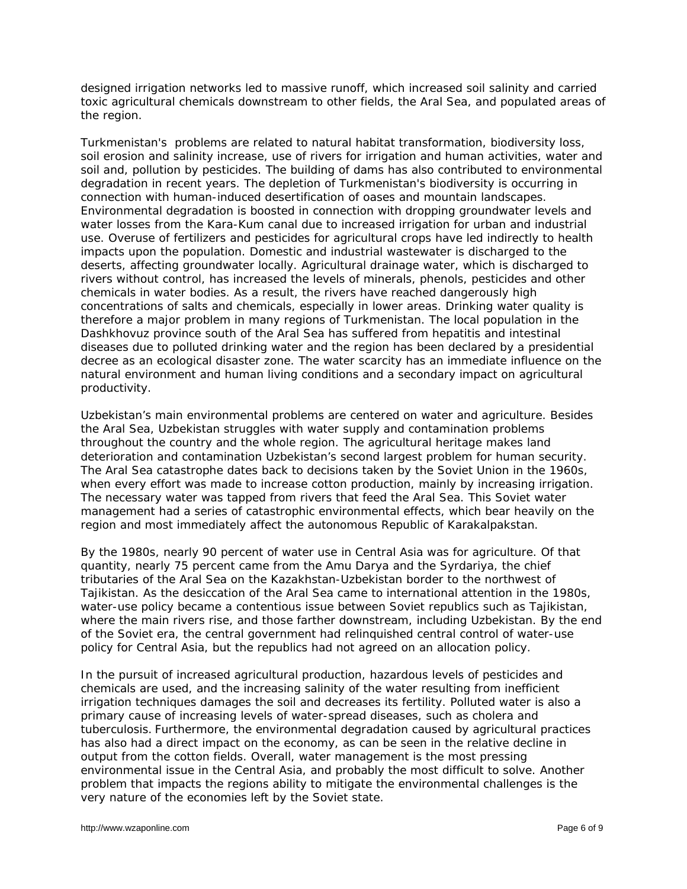designed irrigation networks led to massive runoff, which increased soil salinity and carried toxic agricultural chemicals downstream to other fields, the Aral Sea, and populated areas of the region.

Turkmenistan's problems are related to natural habitat transformation, biodiversity loss, soil erosion and salinity increase, use of rivers for irrigation and human activities, water and soil and, pollution by pesticides. The building of dams has also contributed to environmental degradation in recent years. The depletion of Turkmenistan's biodiversity is occurring in connection with human-induced desertification of oases and mountain landscapes. Environmental degradation is boosted in connection with dropping groundwater levels and water losses from the Kara-Kum canal due to increased irrigation for urban and industrial use. Overuse of fertilizers and pesticides for agricultural crops have led indirectly to health impacts upon the population. Domestic and industrial wastewater is discharged to the deserts, affecting groundwater locally. Agricultural drainage water, which is discharged to rivers without control, has increased the levels of minerals, phenols, pesticides and other chemicals in water bodies. As a result, the rivers have reached dangerously high concentrations of salts and chemicals, especially in lower areas. Drinking water quality is therefore a major problem in many regions of Turkmenistan. The local population in the Dashkhovuz province south of the Aral Sea has suffered from hepatitis and intestinal diseases due to polluted drinking water and the region has been declared by a presidential decree as an ecological disaster zone. The water scarcity has an immediate influence on the natural environment and human living conditions and a secondary impact on agricultural productivity.

Uzbekistan's main environmental problems are centered on water and agriculture. Besides the Aral Sea, Uzbekistan struggles with water supply and contamination problems throughout the country and the whole region. The agricultural heritage makes land deterioration and contamination Uzbekistan's second largest problem for human security. The Aral Sea catastrophe dates back to decisions taken by the Soviet Union in the 1960s, when every effort was made to increase cotton production, mainly by increasing irrigation. The necessary water was tapped from rivers that feed the Aral Sea. This Soviet water management had a series of catastrophic environmental effects, which bear heavily on the region and most immediately affect the autonomous Republic of Karakalpakstan.

By the 1980s, nearly 90 percent of water use in Central Asia was for agriculture. Of that quantity, nearly 75 percent came from the Amu Darya and the Syrdariya, the chief tributaries of the Aral Sea on the Kazakhstan-Uzbekistan border to the northwest of Tajikistan. As the desiccation of the Aral Sea came to international attention in the 1980s, water-use policy became a contentious issue between Soviet republics such as Tajikistan, where the main rivers rise, and those farther downstream, including Uzbekistan. By the end of the Soviet era, the central government had relinquished central control of water-use policy for Central Asia, but the republics had not agreed on an allocation policy.

In the pursuit of increased agricultural production, hazardous levels of pesticides and chemicals are used, and the increasing salinity of the water resulting from inefficient irrigation techniques damages the soil and decreases its fertility. Polluted water is also a primary cause of increasing levels of water-spread diseases, such as cholera and tuberculosis. Furthermore, the environmental degradation caused by agricultural practices has also had a direct impact on the economy, as can be seen in the relative decline in output from the cotton fields. Overall, water management is the most pressing environmental issue in the Central Asia, and probably the most difficult to solve. Another problem that impacts the regions ability to mitigate the environmental challenges is the very nature of the economies left by the Soviet state.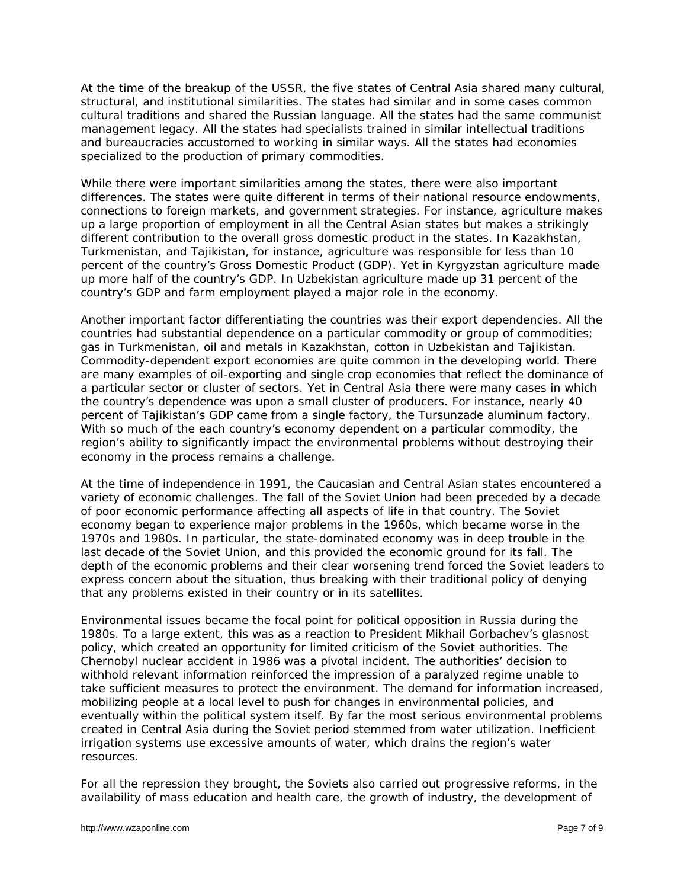At the time of the breakup of the USSR, the five states of Central Asia shared many cultural, structural, and institutional similarities. The states had similar and in some cases common cultural traditions and shared the Russian language. All the states had the same communist management legacy. All the states had specialists trained in similar intellectual traditions and bureaucracies accustomed to working in similar ways. All the states had economies specialized to the production of primary commodities.

While there were important similarities among the states, there were also important differences. The states were quite different in terms of their national resource endowments, connections to foreign markets, and government strategies. For instance, agriculture makes up a large proportion of employment in all the Central Asian states but makes a strikingly different contribution to the overall gross domestic product in the states. In Kazakhstan, Turkmenistan, and Tajikistan, for instance, agriculture was responsible for less than 10 percent of the country's Gross Domestic Product (GDP). Yet in Kyrgyzstan agriculture made up more half of the country's GDP. In Uzbekistan agriculture made up 31 percent of the country's GDP and farm employment played a major role in the economy.

Another important factor differentiating the countries was their export dependencies. All the countries had substantial dependence on a particular commodity or group of commodities; gas in Turkmenistan, oil and metals in Kazakhstan, cotton in Uzbekistan and Tajikistan. Commodity-dependent export economies are quite common in the developing world. There are many examples of oil-exporting and single crop economies that reflect the dominance of a particular sector or cluster of sectors. Yet in Central Asia there were many cases in which the country's dependence was upon a small cluster of producers. For instance, nearly 40 percent of Tajikistan's GDP came from a single factory, the Tursunzade aluminum factory. With so much of the each country's economy dependent on a particular commodity, the region's ability to significantly impact the environmental problems without destroying their economy in the process remains a challenge.

At the time of independence in 1991, the Caucasian and Central Asian states encountered a variety of economic challenges. The fall of the Soviet Union had been preceded by a decade of poor economic performance affecting all aspects of life in that country. The Soviet economy began to experience major problems in the 1960s, which became worse in the 1970s and 1980s. In particular, the state-dominated economy was in deep trouble in the last decade of the Soviet Union, and this provided the economic ground for its fall. The depth of the economic problems and their clear worsening trend forced the Soviet leaders to express concern about the situation, thus breaking with their traditional policy of denying that any problems existed in their country or in its satellites.

Environmental issues became the focal point for political opposition in Russia during the 1980s. To a large extent, this was as a reaction to President Mikhail Gorbachev's *glasnost* policy, which created an opportunity for limited criticism of the Soviet authorities. The Chernobyl nuclear accident in 1986 was a pivotal incident. The authorities' decision to withhold relevant information reinforced the impression of a paralyzed regime unable to take sufficient measures to protect the environment. The demand for information increased, mobilizing people at a local level to push for changes in environmental policies, and eventually within the political system itself. By far the most serious environmental problems created in Central Asia during the Soviet period stemmed from water utilization. Inefficient irrigation systems use excessive amounts of water, which drains the region's water resources.

For all the repression they brought, the Soviets also carried out progressive reforms, in the availability of mass education and health care, the growth of industry, the development of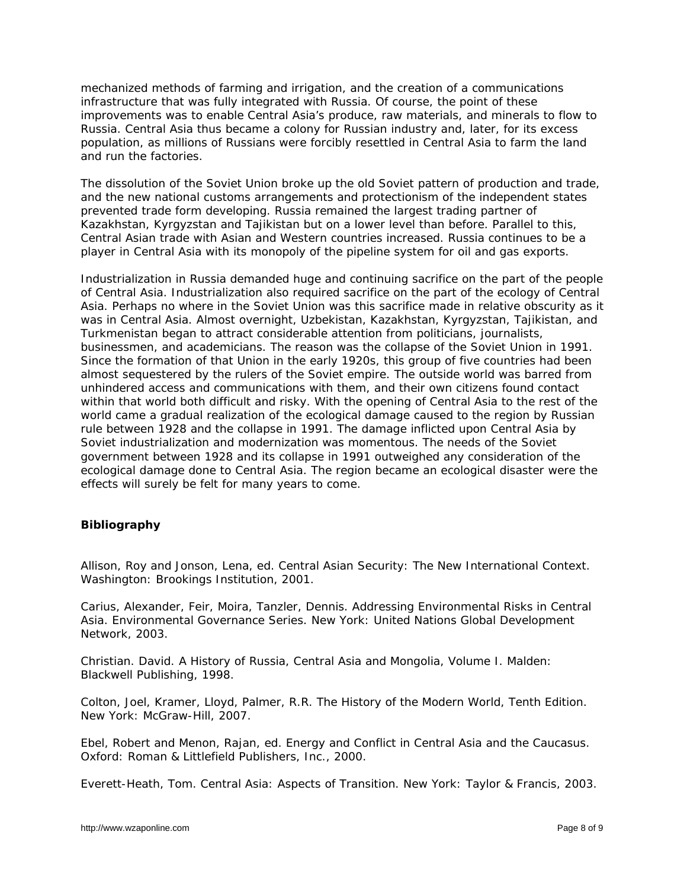mechanized methods of farming and irrigation, and the creation of a communications infrastructure that was fully integrated with Russia. Of course, the point of these improvements was to enable Central Asia's produce, raw materials, and minerals to flow to Russia. Central Asia thus became a colony for Russian industry and, later, for its excess population, as millions of Russians were forcibly resettled in Central Asia to farm the land and run the factories.

The dissolution of the Soviet Union broke up the old Soviet pattern of production and trade, and the new national customs arrangements and protectionism of the independent states prevented trade form developing. Russia remained the largest trading partner of Kazakhstan, Kyrgyzstan and Tajikistan but on a lower level than before. Parallel to this, Central Asian trade with Asian and Western countries increased. Russia continues to be a player in Central Asia with its monopoly of the pipeline system for oil and gas exports.

Industrialization in Russia demanded huge and continuing sacrifice on the part of the people of Central Asia. Industrialization also required sacrifice on the part of the ecology of Central Asia. Perhaps no where in the Soviet Union was this sacrifice made in relative obscurity as it was in Central Asia. Almost overnight, Uzbekistan, Kazakhstan, Kyrgyzstan, Tajikistan, and Turkmenistan began to attract considerable attention from politicians, journalists, businessmen, and academicians. The reason was the collapse of the Soviet Union in 1991. Since the formation of that Union in the early 1920s, this group of five countries had been almost sequestered by the rulers of the Soviet empire. The outside world was barred from unhindered access and communications with them, and their own citizens found contact within that world both difficult and risky. With the opening of Central Asia to the rest of the world came a gradual realization of the ecological damage caused to the region by Russian rule between 1928 and the collapse in 1991. The damage inflicted upon Central Asia by Soviet industrialization and modernization was momentous. The needs of the Soviet government between 1928 and its collapse in 1991 outweighed any consideration of the ecological damage done to Central Asia. The region became an ecological disaster were the effects will surely be felt for many years to come.

## **Bibliography**

Allison, Roy and Jonson, Lena, ed. *Central Asian Security: The New International Context*. Washington: Brookings Institution, 2001.

Carius, Alexander, Feir, Moira, Tanzler, Dennis. *Addressing Environmental Risks in Central Asia*. Environmental Governance Series. New York: United Nations Global Development Network, 2003.

Christian. David. *A History of Russia, Central Asia and Mongolia, Volume I*. Malden: Blackwell Publishing, 1998.

Colton, Joel, Kramer, Lloyd, Palmer, R.R. *The History of the Modern World*, Tenth Edition. New York: McGraw-Hill, 2007.

Ebel, Robert and Menon, Rajan, ed. *Energy and Conflict in Central Asia and the Caucasus*. Oxford: Roman & Littlefield Publishers, Inc., 2000.

Everett-Heath, Tom. *Central Asia: Aspects of Transition*. New York: Taylor & Francis, 2003.